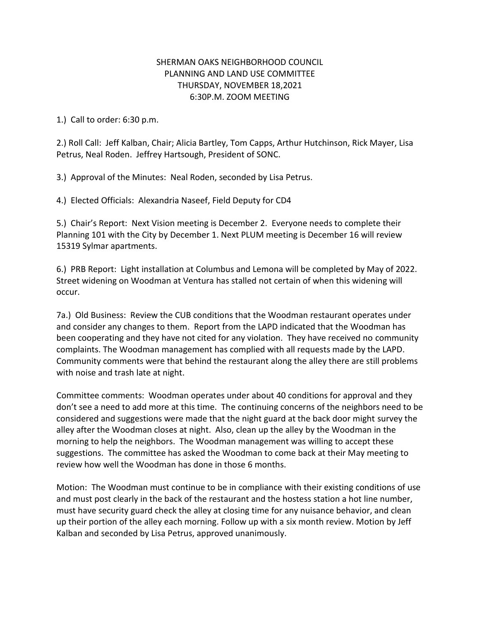## SHERMAN OAKS NEIGHBORHOOD COUNCIL PLANNING AND LAND USE COMMITTEE THURSDAY, NOVEMBER 18,2021 6:30P.M. ZOOM MEETING

1.) Call to order: 6:30 p.m.

2.) Roll Call: Jeff Kalban, Chair; Alicia Bartley, Tom Capps, Arthur Hutchinson, Rick Mayer, Lisa Petrus, Neal Roden. Jeffrey Hartsough, President of SONC.

3.) Approval of the Minutes: Neal Roden, seconded by Lisa Petrus.

4.) Elected Officials: Alexandria Naseef, Field Deputy for CD4

5.) Chair's Report: Next Vision meeting is December 2. Everyone needs to complete their Planning 101 with the City by December 1. Next PLUM meeting is December 16 will review 15319 Sylmar apartments.

6.) PRB Report: Light installation at Columbus and Lemona will be completed by May of 2022. Street widening on Woodman at Ventura has stalled not certain of when this widening will occur.

7a.) Old Business: Review the CUB conditions that the Woodman restaurant operates under and consider any changes to them. Report from the LAPD indicated that the Woodman has been cooperating and they have not cited for any violation. They have received no community complaints. The Woodman management has complied with all requests made by the LAPD. Community comments were that behind the restaurant along the alley there are still problems with noise and trash late at night.

Committee comments: Woodman operates under about 40 conditions for approval and they don't see a need to add more at this time. The continuing concerns of the neighbors need to be considered and suggestions were made that the night guard at the back door might survey the alley after the Woodman closes at night. Also, clean up the alley by the Woodman in the morning to help the neighbors. The Woodman management was willing to accept these suggestions. The committee has asked the Woodman to come back at their May meeting to review how well the Woodman has done in those 6 months.

Motion: The Woodman must continue to be in compliance with their existing conditions of use and must post clearly in the back of the restaurant and the hostess station a hot line number, must have security guard check the alley at closing time for any nuisance behavior, and clean up their portion of the alley each morning. Follow up with a six month review. Motion by Jeff Kalban and seconded by Lisa Petrus, approved unanimously.